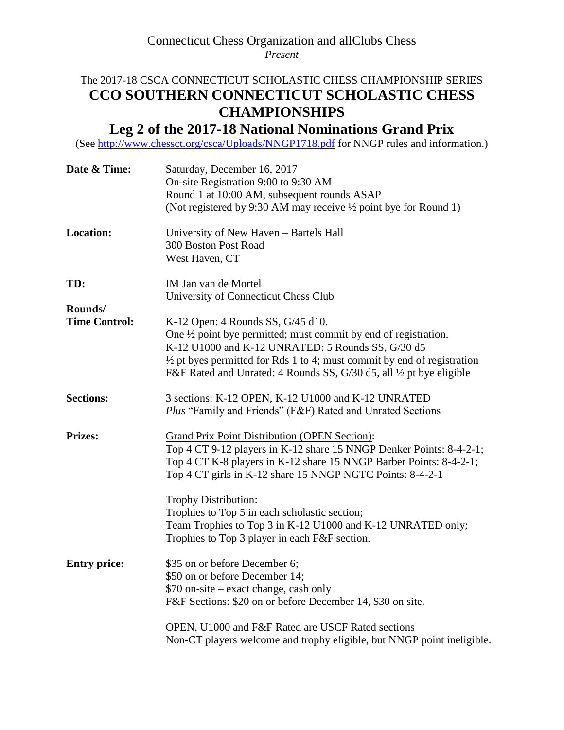### Connecticut Chess Organization and allClubs Chess *Present*

## The 2017-18 CSCA CONNECTICUT SCHOLASTIC CHESS CHAMPIONSHIP SERIES **CCO SOUTHERN CONNECTICUT SCHOLASTIC CHESS CHAMPIONSHIPS**

# **Leg 2 of the 2017-18 National Nominations Grand Prix**

(See<http://www.chessct.org/csca/Uploads/NNGP1718.pdf> for NNGP rules and information.)

| Date & Time:                    | Saturday, December 16, 2017<br>On-site Registration 9:00 to 9:30 AM<br>Round 1 at 10:00 AM, subsequent rounds ASAP<br>(Not registered by 9:30 AM may receive 1/2 point bye for Round 1)                                                                                                                                            |  |  |  |  |  |
|---------------------------------|------------------------------------------------------------------------------------------------------------------------------------------------------------------------------------------------------------------------------------------------------------------------------------------------------------------------------------|--|--|--|--|--|
| <b>Location:</b>                | University of New Haven - Bartels Hall<br>300 Boston Post Road<br>West Haven, CT                                                                                                                                                                                                                                                   |  |  |  |  |  |
| TD:                             | IM Jan van de Mortel<br>University of Connecticut Chess Club                                                                                                                                                                                                                                                                       |  |  |  |  |  |
| Rounds/<br><b>Time Control:</b> | K-12 Open: 4 Rounds SS, G/45 d10.<br>One $\frac{1}{2}$ point bye permitted; must commit by end of registration.<br>K-12 U1000 and K-12 UNRATED: 5 Rounds SS, G/30 d5<br>$\frac{1}{2}$ pt byes permitted for Rds 1 to 4; must commit by end of registration<br>F&F Rated and Unrated: 4 Rounds SS, G/30 d5, all 1/2 pt bye eligible |  |  |  |  |  |
| <b>Sections:</b>                | 3 sections: K-12 OPEN, K-12 U1000 and K-12 UNRATED<br><i>Plus</i> "Family and Friends" (F&F) Rated and Unrated Sections                                                                                                                                                                                                            |  |  |  |  |  |
| <b>Prizes:</b>                  | <b>Grand Prix Point Distribution (OPEN Section):</b><br>Top 4 CT 9-12 players in K-12 share 15 NNGP Denker Points: 8-4-2-1;<br>Top 4 CT K-8 players in K-12 share 15 NNGP Barber Points: 8-4-2-1;<br>Top 4 CT girls in K-12 share 15 NNGP NGTC Points: 8-4-2-1                                                                     |  |  |  |  |  |
|                                 | <b>Trophy Distribution:</b><br>Trophies to Top 5 in each scholastic section;<br>Team Trophies to Top 3 in K-12 U1000 and K-12 UNRATED only;<br>Trophies to Top 3 player in each F&F section.                                                                                                                                       |  |  |  |  |  |
| <b>Entry price:</b>             | \$35 on or before December 6;<br>\$50 on or before December 14;<br>\$70 on-site – exact change, cash only<br>F&F Sections: \$20 on or before December 14, \$30 on site.                                                                                                                                                            |  |  |  |  |  |
|                                 | OPEN, U1000 and F&F Rated are USCF Rated sections<br>Non-CT players welcome and trophy eligible, but NNGP point ineligible.                                                                                                                                                                                                        |  |  |  |  |  |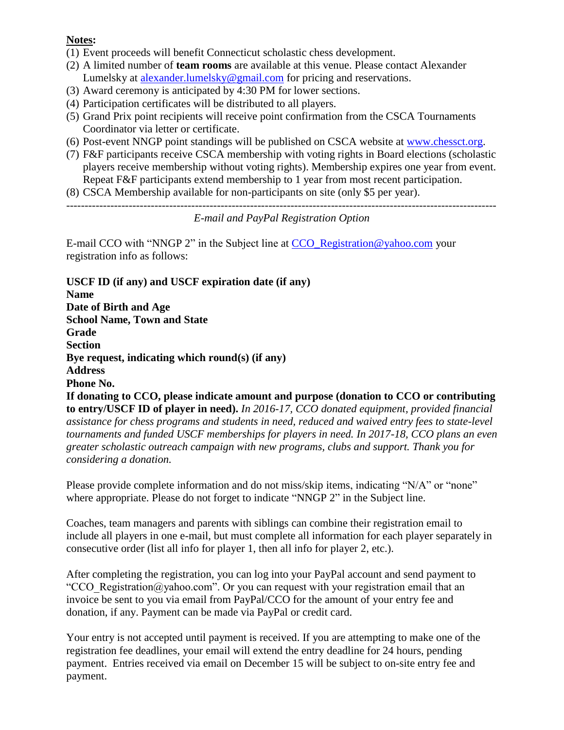#### **Notes:**

- (1) Event proceeds will benefit Connecticut scholastic chess development.
- (2) A limited number of **team rooms** are available at this venue. Please contact Alexander Lumelsky at [alexander.lumelsky@gmail.com](mailto:alexander.lumelsky@gmail.com) for pricing and reservations.
- (3) Award ceremony is anticipated by 4:30 PM for lower sections.
- (4) Participation certificates will be distributed to all players.
- (5) Grand Prix point recipients will receive point confirmation from the CSCA Tournaments Coordinator via letter or certificate.
- (6) Post-event NNGP point standings will be published on CSCA website at [www.chessct.org.](http://www.chessct.org/)
- (7) F&F participants receive CSCA membership with voting rights in Board elections (scholastic players receive membership without voting rights). Membership expires one year from event. Repeat F&F participants extend membership to 1 year from most recent participation.
- (8) CSCA Membership available for non-participants on site (only \$5 per year).

```
---------------------------------------------------------------------------------------------------------------------
```
### *E-mail and PayPal Registration Option*

E-mail CCO with "NNGP 2" in the Subject line at [CCO\\_Registration@yahoo.com](mailto:CCO_Registration@yahoo.com) your registration info as follows:

**USCF ID (if any) and USCF expiration date (if any) Name Date of Birth and Age School Name, Town and State Grade Section Bye request, indicating which round(s) (if any) Address Phone No. If donating to CCO, please indicate amount and purpose (donation to CCO or contributing to entry/USCF ID of player in need).** *In 2016-17, CCO donated equipment, provided financial assistance for chess programs and students in need, reduced and waived entry fees to state-level tournaments and funded USCF memberships for players in need. In 2017-18, CCO plans an even greater scholastic outreach campaign with new programs, clubs and support. Thank you for considering a donation.*

Please provide complete information and do not miss/skip items, indicating "N/A" or "none" where appropriate. Please do not forget to indicate "NNGP 2" in the Subject line.

Coaches, team managers and parents with siblings can combine their registration email to include all players in one e-mail, but must complete all information for each player separately in consecutive order (list all info for player 1, then all info for player 2, etc.).

After completing the registration, you can log into your PayPal account and send payment to "CCO Registration@yahoo.com". Or you can request with your registration email that an invoice be sent to you via email from PayPal/CCO for the amount of your entry fee and donation, if any. Payment can be made via PayPal or credit card.

Your entry is not accepted until payment is received. If you are attempting to make one of the registration fee deadlines, your email will extend the entry deadline for 24 hours, pending payment. Entries received via email on December 15 will be subject to on-site entry fee and payment.